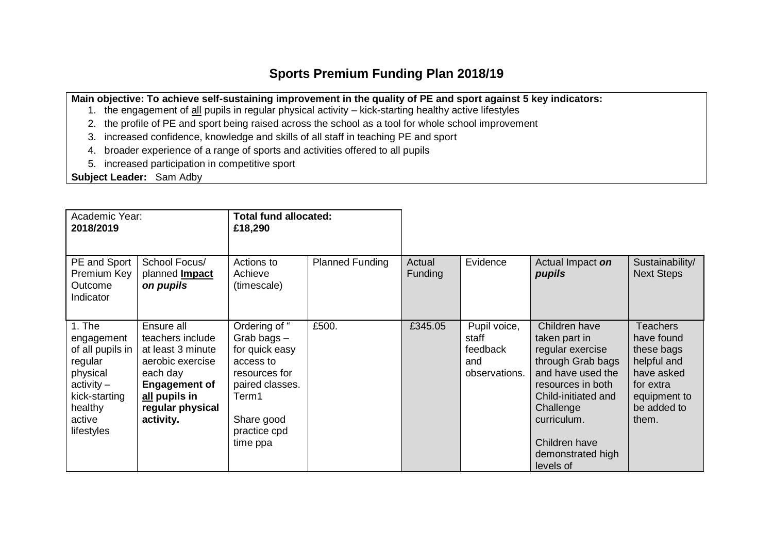## **Sports Premium Funding Plan 2018/19**

**Main objective: To achieve self-sustaining improvement in the quality of PE and sport against 5 key indicators:**

- 1. the engagement of all pupils in regular physical activity kick-starting healthy active lifestyles
- 2. the profile of PE and sport being raised across the school as a tool for whole school improvement
- 3. increased confidence, knowledge and skills of all staff in teaching PE and sport
- 4. broader experience of a range of sports and activities offered to all pupils
- 5. increased participation in competitive sport

**Subject Leader:** Sam Adby

| Academic Year:<br>2018/2019                                                                                                           |                                                                                                                                                               | <b>Total fund allocated:</b><br>£18,290                                                                                                           |                        |                          |                                                           |                                                                                                                                                                                                                         |                                                                                                                               |
|---------------------------------------------------------------------------------------------------------------------------------------|---------------------------------------------------------------------------------------------------------------------------------------------------------------|---------------------------------------------------------------------------------------------------------------------------------------------------|------------------------|--------------------------|-----------------------------------------------------------|-------------------------------------------------------------------------------------------------------------------------------------------------------------------------------------------------------------------------|-------------------------------------------------------------------------------------------------------------------------------|
| PE and Sport<br>Premium Key<br>Outcome<br>Indicator                                                                                   | School Focus/<br>planned <b>Impact</b><br>on pupils                                                                                                           | Actions to<br>Achieve<br>(timescale)                                                                                                              | <b>Planned Funding</b> | Actual<br><b>Funding</b> | Evidence                                                  | Actual Impact on<br>pupils                                                                                                                                                                                              | Sustainability/<br><b>Next Steps</b>                                                                                          |
| 1. The<br>engagement<br>of all pupils in<br>regular<br>physical<br>$\arctivity -$<br>kick-starting<br>healthy<br>active<br>lifestyles | Ensure all<br>teachers include<br>at least 3 minute<br>aerobic exercise<br>each day<br><b>Engagement of</b><br>all pupils in<br>regular physical<br>activity. | Ordering of "<br>Grab bags-<br>for quick easy<br>access to<br>resources for<br>paired classes.<br>Term1<br>Share good<br>practice cpd<br>time ppa | £500.                  | £345.05                  | Pupil voice,<br>staff<br>feedback<br>and<br>observations. | Children have<br>taken part in<br>regular exercise<br>through Grab bags<br>and have used the<br>resources in both<br>Child-initiated and<br>Challenge<br>curriculum.<br>Children have<br>demonstrated high<br>levels of | <b>Teachers</b><br>have found<br>these bags<br>helpful and<br>have asked<br>for extra<br>equipment to<br>be added to<br>them. |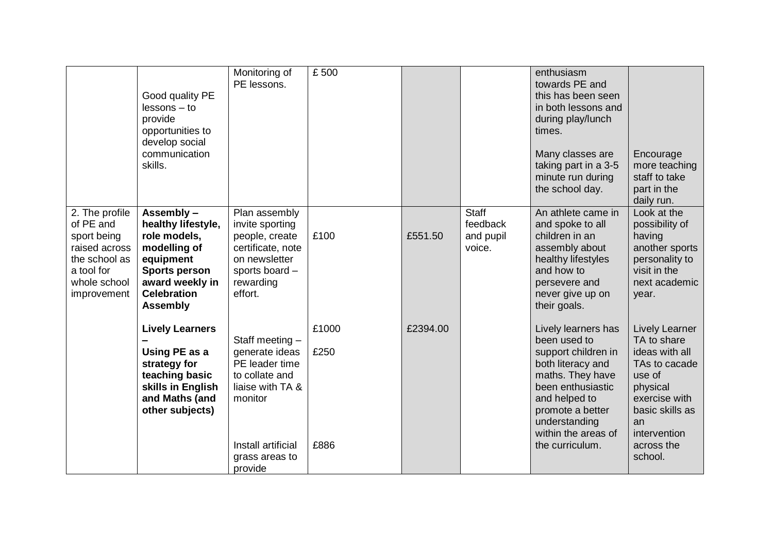|                                                                                                                           | Good quality PE<br>$lessons - to$<br>provide<br>opportunities to<br>develop social<br>communication<br>skills.                                                    | Monitoring of<br>PE lessons.                                                                                                                            | £500                  |          |                                                 | enthusiasm<br>towards PE and<br>this has been seen<br>in both lessons and<br>during play/lunch<br>times.<br>Many classes are<br>taking part in a 3-5<br>minute run during<br>the school day.                             | Encourage<br>more teaching<br>staff to take<br>part in the<br>daily run.                                                                                                  |
|---------------------------------------------------------------------------------------------------------------------------|-------------------------------------------------------------------------------------------------------------------------------------------------------------------|---------------------------------------------------------------------------------------------------------------------------------------------------------|-----------------------|----------|-------------------------------------------------|--------------------------------------------------------------------------------------------------------------------------------------------------------------------------------------------------------------------------|---------------------------------------------------------------------------------------------------------------------------------------------------------------------------|
| 2. The profile<br>of PE and<br>sport being<br>raised across<br>the school as<br>a tool for<br>whole school<br>improvement | Assembly -<br>healthy lifestyle,<br>role models,<br>modelling of<br>equipment<br><b>Sports person</b><br>award weekly in<br><b>Celebration</b><br><b>Assembly</b> | Plan assembly<br>invite sporting<br>people, create<br>certificate, note<br>on newsletter<br>sports board -<br>rewarding<br>effort.                      | £100                  | £551.50  | <b>Staff</b><br>feedback<br>and pupil<br>voice. | An athlete came in<br>and spoke to all<br>children in an<br>assembly about<br>healthy lifestyles<br>and how to<br>persevere and<br>never give up on<br>their goals.                                                      | Look at the<br>possibility of<br>having<br>another sports<br>personality to<br>visit in the<br>next academic<br>year.                                                     |
|                                                                                                                           | <b>Lively Learners</b><br>Using PE as a<br>strategy for<br>teaching basic<br>skills in English<br>and Maths (and<br>other subjects)                               | Staff meeting -<br>generate ideas<br>PE leader time<br>to collate and<br>liaise with TA &<br>monitor<br>Install artificial<br>grass areas to<br>provide | £1000<br>£250<br>£886 | £2394.00 |                                                 | Lively learners has<br>been used to<br>support children in<br>both literacy and<br>maths. They have<br>been enthusiastic<br>and helped to<br>promote a better<br>understanding<br>within the areas of<br>the curriculum. | Lively Learner<br>TA to share<br>ideas with all<br>TAs to cacade<br>use of<br>physical<br>exercise with<br>basic skills as<br>an<br>intervention<br>across the<br>school. |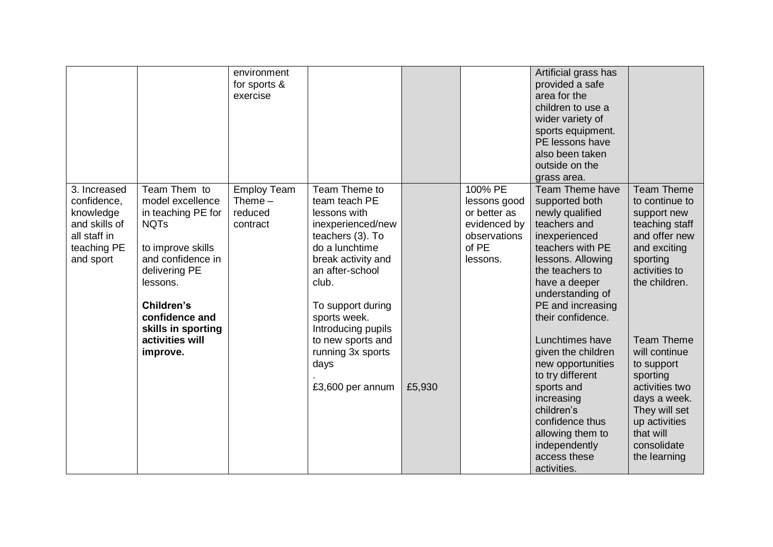|                                                                                                       |                                                                                                                                                                                                    | environment<br>for sports &<br>exercise                |                                                                                                                                                                                                                        |        |                                                                                              | Artificial grass has<br>provided a safe<br>area for the<br>children to use a<br>wider variety of<br>sports equipment.<br>PE lessons have<br>also been taken<br>outside on the<br>grass area.                                     |                                                                                                                                                                              |
|-------------------------------------------------------------------------------------------------------|----------------------------------------------------------------------------------------------------------------------------------------------------------------------------------------------------|--------------------------------------------------------|------------------------------------------------------------------------------------------------------------------------------------------------------------------------------------------------------------------------|--------|----------------------------------------------------------------------------------------------|----------------------------------------------------------------------------------------------------------------------------------------------------------------------------------------------------------------------------------|------------------------------------------------------------------------------------------------------------------------------------------------------------------------------|
| 3. Increased<br>confidence,<br>knowledge<br>and skills of<br>all staff in<br>teaching PE<br>and sport | Team Them to<br>model excellence<br>in teaching PE for<br><b>NQTs</b><br>to improve skills<br>and confidence in<br>delivering PE<br>lessons.<br>Children's<br>confidence and<br>skills in sporting | <b>Employ Team</b><br>Theme $-$<br>reduced<br>contract | Team Theme to<br>team teach PE<br>lessons with<br>inexperienced/new<br>teachers (3). To<br>do a lunchtime<br>break activity and<br>an after-school<br>club.<br>To support during<br>sports week.<br>Introducing pupils |        | 100% PE<br>lessons good<br>or better as<br>evidenced by<br>observations<br>of PE<br>lessons. | Team Theme have<br>supported both<br>newly qualified<br>teachers and<br>inexperienced<br>teachers with PE<br>lessons. Allowing<br>the teachers to<br>have a deeper<br>understanding of<br>PE and increasing<br>their confidence. | <b>Team Theme</b><br>to continue to<br>support new<br>teaching staff<br>and offer new<br>and exciting<br>sporting<br>activities to<br>the children.                          |
|                                                                                                       | activities will<br>improve.                                                                                                                                                                        |                                                        | to new sports and<br>running 3x sports<br>days<br>£3,600 per annum                                                                                                                                                     | £5,930 |                                                                                              | Lunchtimes have<br>given the children<br>new opportunities<br>to try different<br>sports and<br>increasing<br>children's<br>confidence thus<br>allowing them to<br>independently<br>access these<br>activities.                  | <b>Team Theme</b><br>will continue<br>to support<br>sporting<br>activities two<br>days a week.<br>They will set<br>up activities<br>that will<br>consolidate<br>the learning |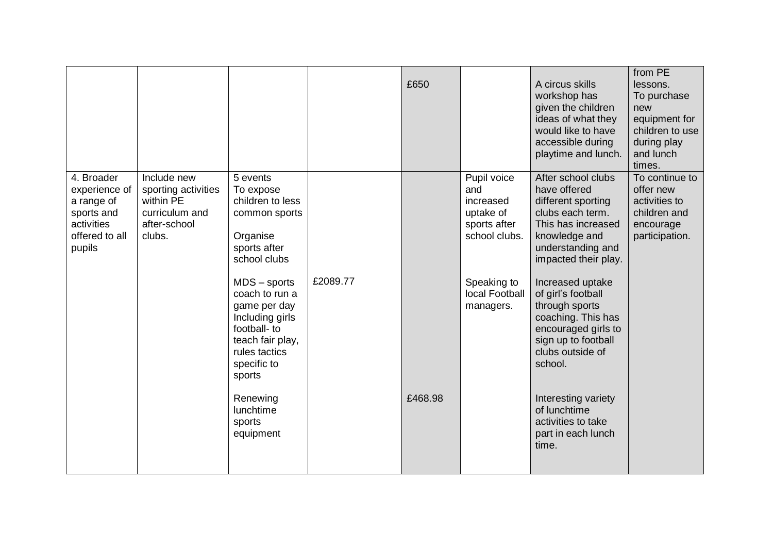|                                                                                                   |                                                                                             |                                                                                                                                                                                                                                                                                      |          | £650    |                                                                                                                             | A circus skills<br>workshop has<br>given the children<br>ideas of what they<br>would like to have<br>accessible during<br>playtime and lunch.                                                                                                                                                                                                                          | from PE<br>lessons.<br>To purchase<br>new<br>equipment for<br>children to use<br>during play<br>and lunch<br>times. |
|---------------------------------------------------------------------------------------------------|---------------------------------------------------------------------------------------------|--------------------------------------------------------------------------------------------------------------------------------------------------------------------------------------------------------------------------------------------------------------------------------------|----------|---------|-----------------------------------------------------------------------------------------------------------------------------|------------------------------------------------------------------------------------------------------------------------------------------------------------------------------------------------------------------------------------------------------------------------------------------------------------------------------------------------------------------------|---------------------------------------------------------------------------------------------------------------------|
| 4. Broader<br>experience of<br>a range of<br>sports and<br>activities<br>offered to all<br>pupils | Include new<br>sporting activities<br>within PE<br>curriculum and<br>after-school<br>clubs. | 5 events<br>To expose<br>children to less<br>common sports<br>Organise<br>sports after<br>school clubs<br>$MDS$ – sports<br>coach to run a<br>game per day<br>Including girls<br>football- to<br>teach fair play,<br>rules tactics<br>specific to<br>sports<br>Renewing<br>lunchtime | £2089.77 | £468.98 | Pupil voice<br>and<br>increased<br>uptake of<br>sports after<br>school clubs.<br>Speaking to<br>local Football<br>managers. | After school clubs<br>have offered<br>different sporting<br>clubs each term.<br>This has increased<br>knowledge and<br>understanding and<br>impacted their play.<br>Increased uptake<br>of girl's football<br>through sports<br>coaching. This has<br>encouraged girls to<br>sign up to football<br>clubs outside of<br>school.<br>Interesting variety<br>of lunchtime | To continue to<br>offer new<br>activities to<br>children and<br>encourage<br>participation.                         |
|                                                                                                   |                                                                                             | sports<br>equipment                                                                                                                                                                                                                                                                  |          |         |                                                                                                                             | activities to take<br>part in each lunch<br>time.                                                                                                                                                                                                                                                                                                                      |                                                                                                                     |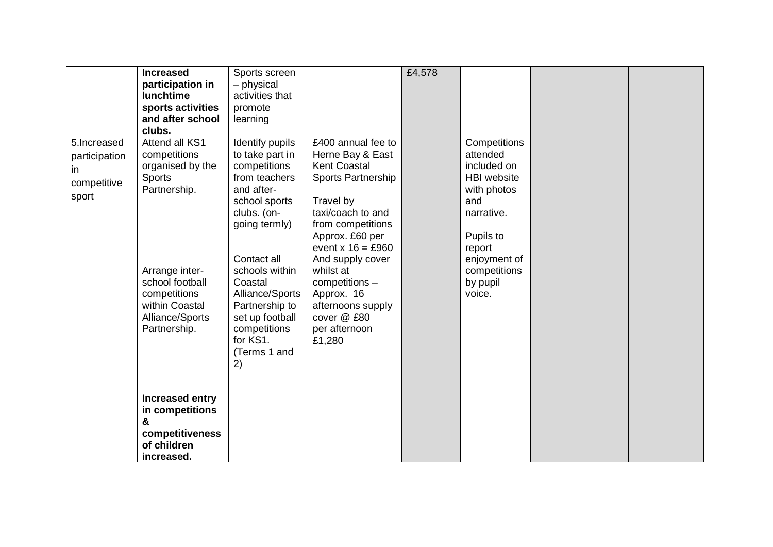|                                                            | <b>Increased</b><br>participation in<br>lunchtime<br>sports activities<br>and after school<br>clubs.   | Sports screen<br>- physical<br>activities that<br>promote<br>learning                                                                             |                                                                                                                                                                                                          | £4,578 |                                                                                                                                          |  |
|------------------------------------------------------------|--------------------------------------------------------------------------------------------------------|---------------------------------------------------------------------------------------------------------------------------------------------------|----------------------------------------------------------------------------------------------------------------------------------------------------------------------------------------------------------|--------|------------------------------------------------------------------------------------------------------------------------------------------|--|
| 5.Increased<br>participation<br>in<br>competitive<br>sport | Attend all KS1<br>competitions<br>organised by the<br><b>Sports</b><br>Partnership.                    | Identify pupils<br>to take part in<br>competitions<br>from teachers<br>and after-<br>school sports<br>clubs. (on-<br>going termly)<br>Contact all | £400 annual fee to<br>Herne Bay & East<br><b>Kent Coastal</b><br>Sports Partnership<br>Travel by<br>taxi/coach to and<br>from competitions<br>Approx. £60 per<br>event $x 16 = £960$<br>And supply cover |        | Competitions<br>attended<br>included on<br><b>HBI</b> website<br>with photos<br>and<br>narrative.<br>Pupils to<br>report<br>enjoyment of |  |
|                                                            | Arrange inter-<br>school football<br>competitions<br>within Coastal<br>Alliance/Sports<br>Partnership. | schools within<br>Coastal<br>Alliance/Sports<br>Partnership to<br>set up football<br>competitions<br>for KS1.<br>(Terms 1 and<br>2)               | whilst at<br>competitions -<br>Approx. 16<br>afternoons supply<br>cover @ £80<br>per afternoon<br>£1,280                                                                                                 |        | competitions<br>by pupil<br>voice.                                                                                                       |  |
|                                                            | <b>Increased entry</b><br>in competitions<br>&<br>competitiveness<br>of children<br>increased.         |                                                                                                                                                   |                                                                                                                                                                                                          |        |                                                                                                                                          |  |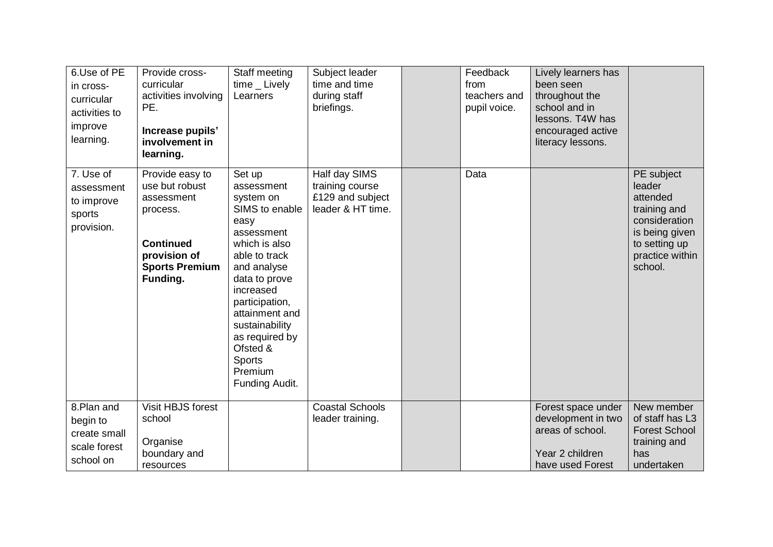| 6.Use of PE<br>in cross-<br>curricular<br>activities to<br>improve<br>learning. | Provide cross-<br>curricular<br>activities involving<br>PE.<br>Increase pupils'<br>involvement in<br>learning.                       | Staff meeting<br>$time$ Lively<br>Learners                                                                                                                                                                                                                                                 | Subject leader<br>time and time<br>during staff<br>briefings.             | Feedback<br>from<br>teachers and<br>pupil voice. | Lively learners has<br>been seen<br>throughout the<br>school and in<br>lessons. T4W has<br>encouraged active<br>literacy lessons. |                                                                                                                                    |
|---------------------------------------------------------------------------------|--------------------------------------------------------------------------------------------------------------------------------------|--------------------------------------------------------------------------------------------------------------------------------------------------------------------------------------------------------------------------------------------------------------------------------------------|---------------------------------------------------------------------------|--------------------------------------------------|-----------------------------------------------------------------------------------------------------------------------------------|------------------------------------------------------------------------------------------------------------------------------------|
| 7. Use of<br>assessment<br>to improve<br>sports<br>provision.                   | Provide easy to<br>use but robust<br>assessment<br>process.<br><b>Continued</b><br>provision of<br><b>Sports Premium</b><br>Funding. | Set up<br>assessment<br>system on<br>SIMS to enable<br>easy<br>assessment<br>which is also<br>able to track<br>and analyse<br>data to prove<br>increased<br>participation,<br>attainment and<br>sustainability<br>as required by<br>Ofsted &<br><b>Sports</b><br>Premium<br>Funding Audit. | Half day SIMS<br>training course<br>£129 and subject<br>leader & HT time. | Data                                             |                                                                                                                                   | PE subject<br>leader<br>attended<br>training and<br>consideration<br>is being given<br>to setting up<br>practice within<br>school. |
| 8.Plan and<br>begin to<br>create small<br>scale forest<br>school on             | Visit HBJS forest<br>school<br>Organise<br>boundary and<br>resources                                                                 |                                                                                                                                                                                                                                                                                            | Coastal Schools<br>leader training.                                       |                                                  | Forest space under<br>development in two<br>areas of school.<br>Year 2 children<br>have used Forest                               | New member<br>of staff has L3<br><b>Forest School</b><br>training and<br>has<br>undertaken                                         |